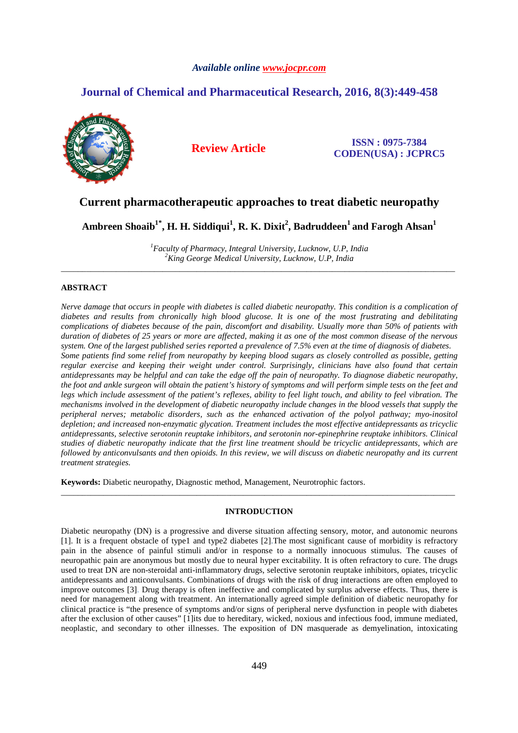### *Available online www.jocpr.com*

# **Journal of Chemical and Pharmaceutical Research, 2016, 8(3):449-458**



## **Review Article ISSN : 0975-7384 CODEN(USA) : JCPRC5**

# **Current pharmacotherapeutic approaches to treat diabetic neuropathy**

**Ambreen Shoaib1\*, H. H. Siddiqui<sup>1</sup> , R. K. Dixit<sup>2</sup> , Badruddeen<sup>1</sup>and Farogh Ahsan<sup>1</sup>**

*<sup>1</sup>Faculty of Pharmacy, Integral University, Lucknow, U.P, India <sup>2</sup>King George Medical University, Lucknow, U.P, India* \_\_\_\_\_\_\_\_\_\_\_\_\_\_\_\_\_\_\_\_\_\_\_\_\_\_\_\_\_\_\_\_\_\_\_\_\_\_\_\_\_\_\_\_\_\_\_\_\_\_\_\_\_\_\_\_\_\_\_\_\_\_\_\_\_\_\_\_\_\_\_\_\_\_\_\_\_\_\_\_\_\_\_\_\_\_\_\_\_\_\_\_\_

### **ABSTRACT**

*Nerve damage that occurs in people with diabetes is called diabetic neuropathy. This condition is a complication of diabetes and results from chronically high blood glucose. It is one of the most frustrating and debilitating complications of diabetes because of the pain, discomfort and disability. Usually more than 50% of patients with duration of diabetes of 25 years or more are affected, making it as one of the most common disease of the nervous system. One of the largest published series reported a prevalence of 7.5% even at the time of diagnosis of diabetes. Some patients find some relief from neuropathy by keeping blood sugars as closely controlled as possible, getting regular exercise and keeping their weight under control. Surprisingly, clinicians have also found that certain antidepressants may be helpful and can take the edge off the pain of neuropathy. To diagnose diabetic neuropathy, the foot and ankle surgeon will obtain the patient's history of symptoms and will perform simple tests on the feet and legs which include assessment of the patient's reflexes, ability to feel light touch, and ability to feel vibration. The mechanisms involved in the development of diabetic neuropathy include changes in the blood vessels that supply the peripheral nerves; metabolic disorders, such as the enhanced activation of the polyol pathway; myo-inositol depletion; and increased non-enzymatic glycation. Treatment includes the most effective antidepressants as tricyclic antidepressants, selective serotonin reuptake inhibitors, and serotonin nor-epinephrine reuptake inhibitors. Clinical studies of diabetic neuropathy indicate that the first line treatment should be tricyclic antidepressants, which are followed by anticonvulsants and then opioids. In this review, we will discuss on diabetic neuropathy and its current treatment strategies.* 

**Keywords:** Diabetic neuropathy, Diagnostic method, Management, Neurotrophic factors.

## **INTRODUCTION**

\_\_\_\_\_\_\_\_\_\_\_\_\_\_\_\_\_\_\_\_\_\_\_\_\_\_\_\_\_\_\_\_\_\_\_\_\_\_\_\_\_\_\_\_\_\_\_\_\_\_\_\_\_\_\_\_\_\_\_\_\_\_\_\_\_\_\_\_\_\_\_\_\_\_\_\_\_\_\_\_\_\_\_\_\_\_\_\_\_\_\_\_\_

Diabetic neuropathy (DN) is a progressive and diverse situation affecting sensory, motor, and autonomic neurons [1]. It is a frequent obstacle of type1 and type2 diabetes [2].The most significant cause of morbidity is refractory pain in the absence of painful stimuli and/or in response to a normally innocuous stimulus. The causes of neuropathic pain are anonymous but mostly due to neural hyper excitability. It is often refractory to cure. The drugs used to treat DN are non-steroidal anti-inflammatory drugs, selective serotonin reuptake inhibitors, opiates, tricyclic antidepressants and anticonvulsants. Combinations of drugs with the risk of drug interactions are often employed to improve outcomes [3]. Drug therapy is often ineffective and complicated by surplus adverse effects. Thus, there is need for management along with treatment. An internationally agreed simple definition of diabetic neuropathy for clinical practice is "the presence of symptoms and/or signs of peripheral nerve dysfunction in people with diabetes after the exclusion of other causes" [1]its due to hereditary, wicked, noxious and infectious food, immune mediated, neoplastic, and secondary to other illnesses. The exposition of DN masquerade as demyelination, intoxicating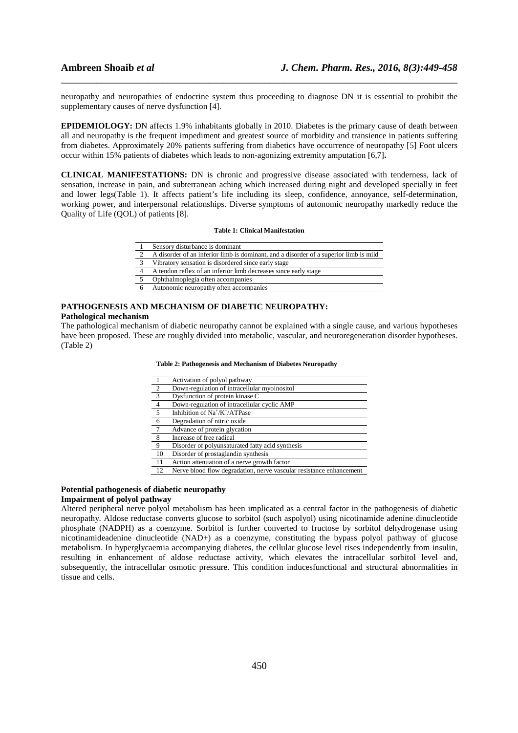neuropathy and neuropathies of endocrine system thus proceeding to diagnose DN it is essential to prohibit the supplementary causes of nerve dysfunction [4].

\_\_\_\_\_\_\_\_\_\_\_\_\_\_\_\_\_\_\_\_\_\_\_\_\_\_\_\_\_\_\_\_\_\_\_\_\_\_\_\_\_\_\_\_\_\_\_\_\_\_\_\_\_\_\_\_\_\_\_\_\_\_\_\_\_\_\_\_\_\_\_\_\_\_\_\_\_\_

**EPIDEMIOLOGY:** DN affects 1.9% inhabitants globally in 2010. Diabetes is the primary cause of death between all and neuropathy is the frequent impediment and greatest source of morbidity and transience in patients suffering from diabetes. Approximately 20% patients suffering from diabetics have occurrence of neuropathy [5] Foot ulcers occur within 15% patients of diabetes which leads to non-agonizing extremity amputation [6,7]**.**

**CLINICAL MANIFESTATIONS:** DN is chronic and progressive disease associated with tenderness, lack of sensation, increase in pain, and subterranean aching which increased during night and developed specially in feet and lower legs(Table 1). It affects patient's life including its sleep, confidence, annoyance, self-determination, working power, and interpersonal relationships. Diverse symptoms of autonomic neuropathy markedly reduce the Quality of Life (QOL) of patients [8].

#### **Table 1: Clinical Manifestation**

- 2 A disorder of an inferior limb is dominant, and a disorder of a superior limb is mild
- Vibratory sensation is disordered since early stage
- 4 A tendon reflex of an inferior limb decreases since early stage
- 5 Ophthalmoplegia often accompanies
- Autonomic neuropathy often accompanies

# **PATHOGENESIS AND MECHANISM OF DIABETIC NEUROPATHY:**

## **Pathological mechanism**

The pathological mechanism of diabetic neuropathy cannot be explained with a single cause, and various hypotheses have been proposed. These are roughly divided into metabolic, vascular, and neuroregeneration disorder hypotheses. (Table 2)

#### **Table 2: Pathogenesis and Mechanism of Diabetes Neuropathy**

|                         | Activation of polyol pathway                                        |
|-------------------------|---------------------------------------------------------------------|
| $\overline{2}$          | Down-regulation of intracellular myoinositol                        |
| $\overline{\mathbf{3}}$ | Dysfunction of protein kinase C                                     |
| $\overline{4}$          | Down-regulation of intracellular cyclic AMP                         |
| $5\overline{5}$         | Inhibition of $Na^+/K^+/ATP$ ase                                    |
| 6                       | Degradation of nitric oxide                                         |
| $\overline{7}$          | Advance of protein glycation                                        |
| - 8                     | Increase of free radical                                            |
| 9                       | Disorder of polyunsaturated fatty acid synthesis                    |
| 10                      | Disorder of prostaglandin synthesis                                 |
| 11                      | Action attenuation of a nerve growth factor                         |
| 12                      | Nerve blood flow degradation, nerve vascular resistance enhancement |

# **Potential pathogenesis of diabetic neuropathy**

# **Impairment of polyol pathway**

Altered peripheral nerve polyol metabolism has been implicated as a central factor in the pathogenesis of diabetic neuropathy. Aldose reductase converts glucose to sorbitol (such aspolyol) using nicotinamide adenine dinucleotide phosphate (NADPH) as a coenzyme. Sorbitol is further converted to fructose by sorbitol dehydrogenase using nicotinamideadenine dinucleotide (NAD+) as a coenzyme, constituting the bypass polyol pathway of glucose metabolism. In hyperglycaemia accompanying diabetes, the cellular glucose level rises independently from insulin, resulting in enhancement of aldose reductase activity, which elevates the intracellular sorbitol level and, subsequently, the intracellular osmotic pressure. This condition inducesfunctional and structural abnormalities in tissue and cells.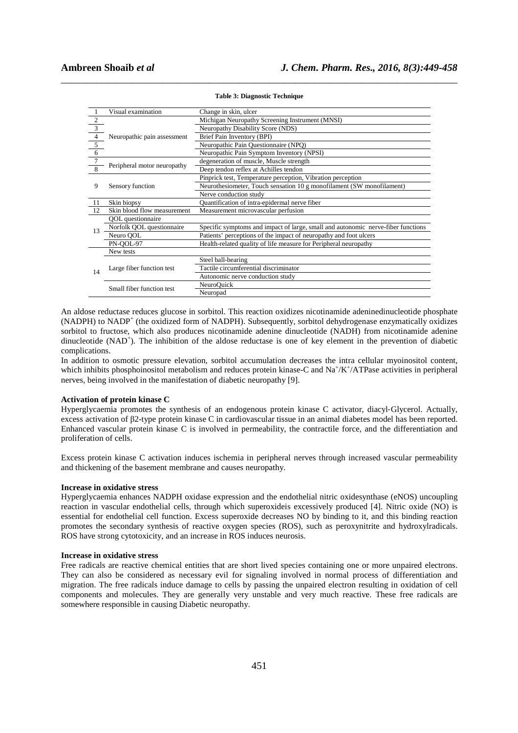|                | Visual examination          | Change in skin, ulcer                                                            |  |  |
|----------------|-----------------------------|----------------------------------------------------------------------------------|--|--|
| $\sqrt{2}$     |                             | Michigan Neuropathy Screening Instrument (MNSI)                                  |  |  |
| $\overline{3}$ |                             | <b>Neuropathy Disability Score (NDS)</b>                                         |  |  |
| $\overline{4}$ | Neuropathic pain assessment | Brief Pain Inventory (BPI)                                                       |  |  |
| 5 <sub>5</sub> |                             | Neuropathic Pain Questionnaire (NPQ)                                             |  |  |
| $\overline{6}$ |                             | Neuropathic Pain Symptom Inventory (NPSI)                                        |  |  |
| $\overline{7}$ |                             | degeneration of muscle, Muscle strength                                          |  |  |
| 8              | Peripheral motor neuropathy | Deep tendon reflex at Achilles tendon                                            |  |  |
|                |                             | Pinprick test, Temperature perception, Vibration perception                      |  |  |
| 9              | Sensory function            | Neurothesiometer, Touch sensation 10 g monofilament (SW monofilament)            |  |  |
|                |                             | Nerve conduction study                                                           |  |  |
| 11             | Skin biopsy                 | Quantification of intra-epidermal nerve fiber                                    |  |  |
| 12             | Skin blood flow measurement | Measurement microvascular perfusion                                              |  |  |
|                | <b>QOL</b> questionnaire    |                                                                                  |  |  |
| 13             | Norfolk QOL questionnaire   | Specific symptoms and impact of large, small and autonomic nerve-fiber functions |  |  |
|                | Neuro OOL                   | Patients' perceptions of the impact of neuropathy and foot ulcers                |  |  |
|                | PN-OOL-97                   | Health-related quality of life measure for Peripheral neuropathy                 |  |  |
|                | New tests                   |                                                                                  |  |  |
|                | Large fiber function test   | Steel ball-bearing                                                               |  |  |
| 14             |                             | Tactile circumferential discriminator                                            |  |  |
|                |                             | Autonomic nerve conduction study                                                 |  |  |
|                | Small fiber function test   | NeuroQuick                                                                       |  |  |
|                |                             | Neuropad                                                                         |  |  |

# \_\_\_\_\_\_\_\_\_\_\_\_\_\_\_\_\_\_\_\_\_\_\_\_\_\_\_\_\_\_\_\_\_\_\_\_\_\_\_\_\_\_\_\_\_\_\_\_\_\_\_\_\_\_\_\_\_\_\_\_\_\_\_\_\_\_\_\_\_\_\_\_\_\_\_\_\_\_ **Table 3: Diagnostic Technique**

An aldose reductase reduces glucose in sorbitol. This reaction oxidizes nicotinamide adeninedinucleotide phosphate (NADPH) to NADP<sup>+</sup> (the oxidized form of NADPH). Subsequently, sorbitol dehydrogenase enzymatically oxidizes sorbitol to fructose, which also produces nicotinamide adenine dinucleotide (NADH) from nicotinamide adenine dinucleotide (NAD<sup>+</sup>). The inhibition of the aldose reductase is one of key element in the prevention of diabetic complications.

In addition to osmotic pressure elevation, sorbitol accumulation decreases the intra cellular myoinositol content, which inhibits phosphoinositol metabolism and reduces protein kinase-C and Na<sup>+</sup>/K<sup>+</sup>/ATPase activities in peripheral nerves, being involved in the manifestation of diabetic neuropathy [9].

#### **Activation of protein kinase C**

Hyperglycaemia promotes the synthesis of an endogenous protein kinase C activator, diacyl‐Glycerol. Actually, excess activation of β2-type protein kinase C in cardiovascular tissue in an animal diabetes model has been reported. Enhanced vascular protein kinase C is involved in permeability, the contractile force, and the differentiation and proliferation of cells.

Excess protein kinase C activation induces ischemia in peripheral nerves through increased vascular permeability and thickening of the basement membrane and causes neuropathy.

#### **Increase in oxidative stress**

Hyperglycaemia enhances NADPH oxidase expression and the endothelial nitric oxidesynthase (eNOS) uncoupling reaction in vascular endothelial cells, through which superoxideis excessively produced [4]. Nitric oxide (NO) is essential for endothelial cell function. Excess superoxide decreases NO by binding to it, and this binding reaction promotes the secondary synthesis of reactive oxygen species (ROS), such as peroxynitrite and hydroxylradicals. ROS have strong cytotoxicity, and an increase in ROS induces neurosis.

#### **Increase in oxidative stress**

Free radicals are reactive chemical entities that are short lived species containing one or more unpaired electrons. They can also be considered as necessary evil for signaling involved in normal process of differentiation and migration. The free radicals induce damage to cells by passing the unpaired electron resulting in oxidation of cell components and molecules. They are generally very unstable and very much reactive. These free radicals are somewhere responsible in causing Diabetic neuropathy.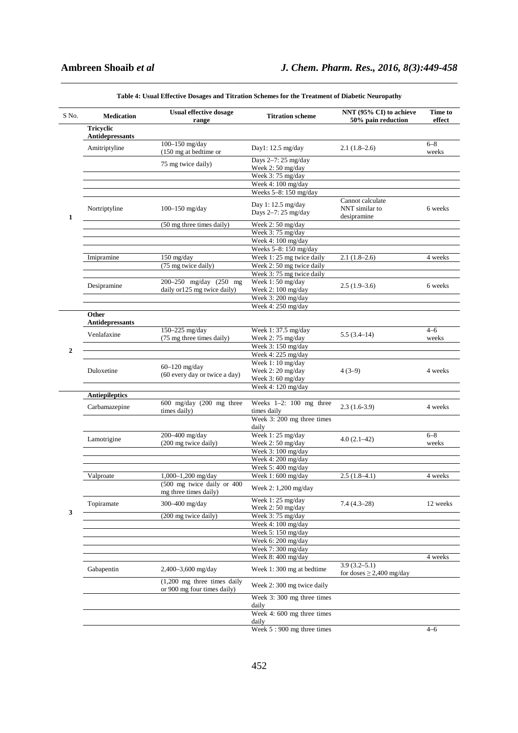| S No.            | <b>Medication</b>                          | <b>Usual effective dosage</b><br>range                                | <b>Titration scheme</b>                      | NNT $(95\% \text{ CI})$ to achieve<br>50% pain reduction | Time to<br>effect |
|------------------|--------------------------------------------|-----------------------------------------------------------------------|----------------------------------------------|----------------------------------------------------------|-------------------|
|                  | <b>Tricyclic</b><br><b>Antidepressants</b> |                                                                       |                                              |                                                          |                   |
|                  | Amitriptyline                              | 100 $-150$ mg/day<br>(150 mg at bedtime or                            | Day1: $12.5 \text{ mg/day}$                  | $2.1(1.8-2.6)$                                           | $6 - 8$<br>weeks  |
|                  |                                            | 75 mg twice daily)                                                    | Days 2-7: 25 mg/day<br>Week $2:50$ mg/day    |                                                          |                   |
|                  |                                            |                                                                       | Week 3:75 mg/day                             |                                                          |                   |
|                  |                                            |                                                                       | Week 4: 100 mg/day                           |                                                          |                   |
|                  |                                            |                                                                       | Weeks 5-8: 150 mg/day                        |                                                          |                   |
| 1                | Nortriptyline                              | 100 $-150$ mg/day                                                     | Day 1: 12.5 mg/day<br>Days 2-7: 25 mg/day    | Cannot calculate<br>NNT similar to<br>desipramine        | 6 weeks           |
|                  |                                            | (50 mg three times daily)                                             | Week 2:50 mg/day                             |                                                          |                   |
|                  |                                            |                                                                       | Week 3:75 mg/day                             |                                                          |                   |
|                  |                                            |                                                                       | Week 4: 100 mg/day                           |                                                          |                   |
|                  |                                            |                                                                       | Weeks 5-8: 150 mg/day                        |                                                          |                   |
|                  | Imipramine                                 | $150$ mg/day                                                          | Week 1:25 mg twice daily                     | $2.1(1.8-2.6)$                                           | 4 weeks           |
|                  |                                            | (75 mg twice daily)                                                   | Week 2: 50 mg twice daily                    |                                                          |                   |
|                  |                                            | 200-250 mg/day (250 mg                                                | Week 3:75 mg twice daily<br>Week 1:50 mg/day |                                                          |                   |
|                  | Desipramine                                | daily or 125 mg twice daily)                                          | Week 2: 100 mg/day                           | $2.5(1.9-3.6)$                                           | 6 weeks           |
|                  |                                            |                                                                       | Week 3: 200 mg/day                           |                                                          |                   |
|                  |                                            |                                                                       | Week 4: 250 mg/day                           |                                                          |                   |
|                  | Other                                      |                                                                       |                                              |                                                          |                   |
|                  | Antidepressants                            |                                                                       |                                              |                                                          |                   |
|                  | Venlafaxine                                | 150-225 mg/day                                                        | Week 1:37.5 mg/day                           | $5.5(3.4-14)$                                            | $4 - 6$           |
|                  |                                            | (75 mg three times daily)                                             | Week 2:75 mg/day                             |                                                          | weeks             |
| $\boldsymbol{2}$ |                                            |                                                                       | Week 3: 150 mg/day                           |                                                          |                   |
|                  |                                            |                                                                       | Week 4: 225 mg/day                           |                                                          |                   |
|                  |                                            | $60-120$ mg/day                                                       | Week 1:10 mg/day                             |                                                          |                   |
|                  | Duloxetine                                 | (60 every day or twice a day)                                         | Week 2:20 mg/day<br>Week 3:60 mg/day         | $4(3-9)$                                                 | 4 weeks           |
|                  |                                            |                                                                       | Week 4: 120 mg/day                           |                                                          |                   |
|                  | <b>Antiepileptics</b>                      |                                                                       |                                              |                                                          |                   |
|                  |                                            | $600$ mg/day $(200$ mg three                                          | Weeks $1-2$ : 100 mg three                   |                                                          |                   |
|                  | Carbamazepine                              | times daily)                                                          | times daily                                  | $2.3(1.6-3.9)$                                           | 4 weeks           |
|                  |                                            |                                                                       | Week 3: 200 mg three times<br>daily          |                                                          |                   |
|                  |                                            | 200-400 mg/day                                                        | Week 1:25 mg/day                             |                                                          | $6 - 8$           |
|                  | Lamotrigine                                | (200 mg twice daily)                                                  | Week 2:50 mg/day                             | $4.0(2.1-42)$                                            | weeks             |
|                  |                                            |                                                                       | Week 3: 100 mg/day                           |                                                          |                   |
|                  |                                            |                                                                       | Week 4: 200 mg/day                           |                                                          |                   |
|                  |                                            |                                                                       | Week 5:400 mg/day                            |                                                          |                   |
|                  | Valproate                                  | $1,000-1,200$ mg/day                                                  | Week 1:600 mg/day                            | $2.5(1.8-4.1)$                                           | 4 weeks           |
|                  |                                            | (500 mg twice daily or 400<br>mg three times daily)                   | Week 2: 1,200 mg/day                         |                                                          |                   |
|                  | Topiramate                                 | 300-400 mg/day                                                        | Week 1:25 mg/day                             | $7.4(4.3-28)$                                            | 12 weeks          |
| 3                |                                            | (200 mg twice daily)                                                  | Week 2:50 mg/day<br>Week 3:75 mg/day         |                                                          |                   |
|                  |                                            |                                                                       | Week 4: 100 mg/day                           |                                                          |                   |
|                  |                                            |                                                                       | Week 5: 150 mg/day                           |                                                          |                   |
|                  |                                            |                                                                       | Week 6: 200 mg/day                           |                                                          |                   |
|                  |                                            |                                                                       | Week 7:300 mg/day                            |                                                          |                   |
|                  |                                            |                                                                       | Week 8:400 mg/day                            |                                                          | 4 weeks           |
|                  | Gabapentin                                 | 2,400-3,600 mg/day                                                    | Week 1:300 mg at bedtime                     | $3.9(3.2 - 5.1)$<br>for doses $\geq$ 2,400 mg/day        |                   |
|                  |                                            | $(1,200 \text{ mg three times daily})$<br>or 900 mg four times daily) | Week 2:300 mg twice daily                    |                                                          |                   |
|                  |                                            |                                                                       | Week 3: 300 mg three times<br>daily          |                                                          |                   |
|                  |                                            |                                                                       | Week 4: 600 mg three times<br>daily          |                                                          |                   |
|                  |                                            |                                                                       | Week 5:900 mg three times                    |                                                          | $4 - 6$           |

\_\_\_\_\_\_\_\_\_\_\_\_\_\_\_\_\_\_\_\_\_\_\_\_\_\_\_\_\_\_\_\_\_\_\_\_\_\_\_\_\_\_\_\_\_\_\_\_\_\_\_\_\_\_\_\_\_\_\_\_\_\_\_\_\_\_\_\_\_\_\_\_\_\_\_\_\_\_ **Table 4: Usual Effective Dosages and Titration Schemes for the Treatment of Diabetic Neuropathy** 

452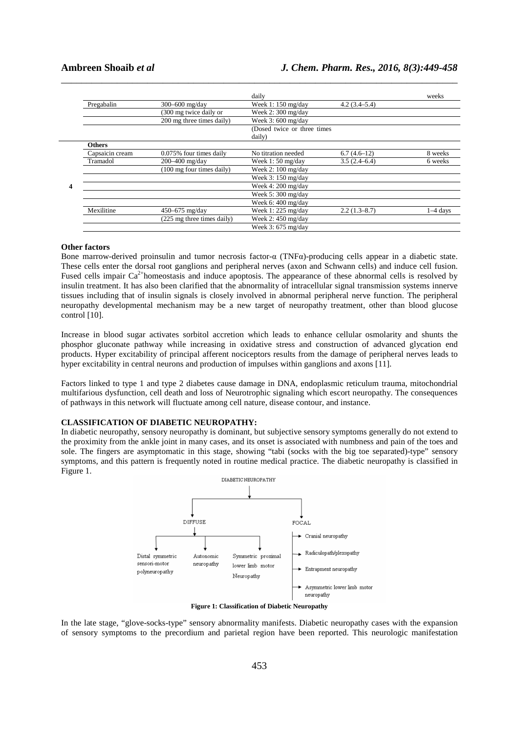|                 |                                     | daily                                  |                | weeks      |
|-----------------|-------------------------------------|----------------------------------------|----------------|------------|
| Pregabalin      | $300 - 600$ mg/day                  | Week 1: $150 \text{ mg/day}$           | $4.2(3.4-5.4)$ |            |
|                 | (300 mg twice daily or              | Week $2:300$ mg/day                    |                |            |
|                 | 200 mg three times daily)           | Week $3:600 \text{ mg/day}$            |                |            |
|                 |                                     | (Dosed twice or three times)<br>daily) |                |            |
| <b>Others</b>   |                                     |                                        |                |            |
| Capsaicin cream | 0.075% four times daily             | No titration needed                    | $6.7(4.6-12)$  | 8 weeks    |
| Tramadol        | $200 - 400$ mg/day                  | Week $1:50$ mg/day                     | 3.5(2.4–6.4)   | 6 weeks    |
|                 | $(100 \text{ mg}$ four times daily) | Week 2: $100 \text{ mg/day}$           |                |            |
|                 |                                     | Week $3:150$ mg/day                    |                |            |
|                 |                                     | Week 4: $200 \text{ mg/day}$           |                |            |
|                 |                                     | Week 5:300 mg/day                      |                |            |
|                 |                                     | Week 6: 400 mg/day                     |                |            |
| Mexilitine      | 450–675 mg/day                      | Week 1: 225 mg/day                     | $2.2(1.3-8.7)$ | $1-4$ days |
|                 | (225 mg three times daily)          | Week 2: $450 \text{ mg/day}$           |                |            |
|                 |                                     | Week $3:675$ mg/day                    |                |            |

\_\_\_\_\_\_\_\_\_\_\_\_\_\_\_\_\_\_\_\_\_\_\_\_\_\_\_\_\_\_\_\_\_\_\_\_\_\_\_\_\_\_\_\_\_\_\_\_\_\_\_\_\_\_\_\_\_\_\_\_\_\_\_\_\_\_\_\_\_\_\_\_\_\_\_\_\_\_

#### **Other factors**

Bone marrow-derived proinsulin and tumor necrosis factor-α (TNFα)-producing cells appear in a diabetic state. These cells enter the dorsal root ganglions and peripheral nerves (axon and Schwann cells) and induce cell fusion. Fused cells impair  $Ca^{2+}$ homeostasis and induce apoptosis. The appearance of these abnormal cells is resolved by insulin treatment. It has also been clarified that the abnormality of intracellular signal transmission systems innerve tissues including that of insulin signals is closely involved in abnormal peripheral nerve function. The peripheral neuropathy developmental mechanism may be a new target of neuropathy treatment, other than blood glucose control [10].

Increase in blood sugar activates sorbitol accretion which leads to enhance cellular osmolarity and shunts the phosphor gluconate pathway while increasing in oxidative stress and construction of advanced glycation end products. Hyper excitability of principal afferent nociceptors results from the damage of peripheral nerves leads to hyper excitability in central neurons and production of impulses within ganglions and axons [11].

Factors linked to type 1 and type 2 diabetes cause damage in DNA, endoplasmic reticulum trauma, mitochondrial multifarious dysfunction, cell death and loss of Neurotrophic signaling which escort neuropathy. The consequences of pathways in this network will fluctuate among cell nature, disease contour, and instance.

#### **CLASSIFICATION OF DIABETIC NEUROPATHY:**

In diabetic neuropathy, sensory neuropathy is dominant, but subjective sensory symptoms generally do not extend to the proximity from the ankle joint in many cases, and its onset is associated with numbness and pain of the toes and sole. The fingers are asymptomatic in this stage, showing "tabi (socks with the big toe separated)-type" sensory symptoms, and this pattern is frequently noted in routine medical practice. The diabetic neuropathy is classified in Figure 1.



**Figure 1: Classification of Diabetic Neuropathy** 

In the late stage, "glove-socks-type" sensory abnormality manifests. Diabetic neuropathy cases with the expansion of sensory symptoms to the precordium and parietal region have been reported. This neurologic manifestation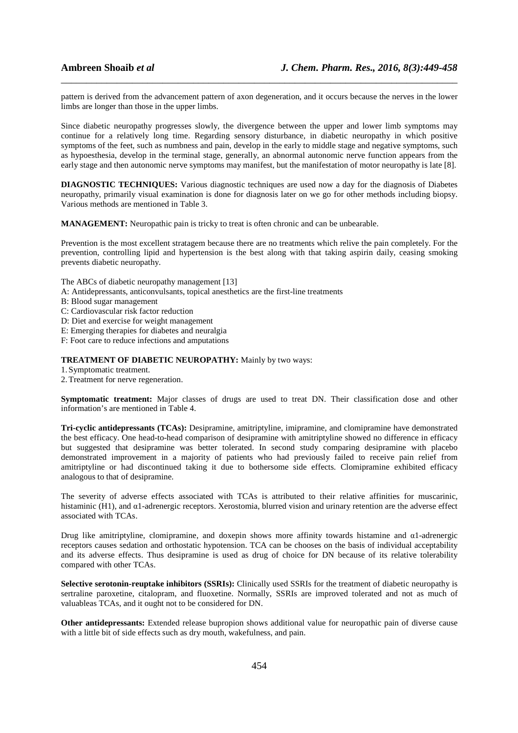pattern is derived from the advancement pattern of axon degeneration, and it occurs because the nerves in the lower limbs are longer than those in the upper limbs.

\_\_\_\_\_\_\_\_\_\_\_\_\_\_\_\_\_\_\_\_\_\_\_\_\_\_\_\_\_\_\_\_\_\_\_\_\_\_\_\_\_\_\_\_\_\_\_\_\_\_\_\_\_\_\_\_\_\_\_\_\_\_\_\_\_\_\_\_\_\_\_\_\_\_\_\_\_\_

Since diabetic neuropathy progresses slowly, the divergence between the upper and lower limb symptoms may continue for a relatively long time. Regarding sensory disturbance, in diabetic neuropathy in which positive symptoms of the feet, such as numbness and pain, develop in the early to middle stage and negative symptoms, such as hypoesthesia, develop in the terminal stage, generally, an abnormal autonomic nerve function appears from the early stage and then autonomic nerve symptoms may manifest, but the manifestation of motor neuropathy is late [8].

**DIAGNOSTIC TECHNIQUES:** Various diagnostic techniques are used now a day for the diagnosis of Diabetes neuropathy, primarily visual examination is done for diagnosis later on we go for other methods including biopsy. Various methods are mentioned in Table 3.

**MANAGEMENT:** Neuropathic pain is tricky to treat is often chronic and can be unbearable.

Prevention is the most excellent stratagem because there are no treatments which relive the pain completely. For the prevention, controlling lipid and hypertension is the best along with that taking aspirin daily, ceasing smoking prevents diabetic neuropathy.

The ABCs of diabetic neuropathy management [13]

- A: Antidepressants, anticonvulsants, topical anesthetics are the first-line treatments
- B: Blood sugar management
- C: Cardiovascular risk factor reduction
- D: Diet and exercise for weight management
- E: Emerging therapies for diabetes and neuralgia
- F: Foot care to reduce infections and amputations

#### **TREATMENT OF DIABETIC NEUROPATHY:** Mainly by two ways:

- 1. Symptomatic treatment.
- 2. Treatment for nerve regeneration.

**Symptomatic treatment:** Major classes of drugs are used to treat DN. Their classification dose and other information's are mentioned in Table 4.

**Tri-cyclic antidepressants (TCAs):** Desipramine, amitriptyline, imipramine, and clomipramine have demonstrated the best efficacy. One head-to-head comparison of desipramine with amitriptyline showed no difference in efficacy but suggested that desipramine was better tolerated. In second study comparing desipramine with placebo demonstrated improvement in a majority of patients who had previously failed to receive pain relief from amitriptyline or had discontinued taking it due to bothersome side effects. Clomipramine exhibited efficacy analogous to that of desipramine.

The severity of adverse effects associated with TCAs is attributed to their relative affinities for muscarinic, histaminic (H1), and α1-adrenergic receptors. Xerostomia, blurred vision and urinary retention are the adverse effect associated with TCAs.

Drug like amitriptyline, clomipramine, and doxepin shows more affinity towards histamine and  $\alpha$ 1-adrenergic receptors causes sedation and orthostatic hypotension. TCA can be chooses on the basis of individual acceptability and its adverse effects. Thus desipramine is used as drug of choice for DN because of its relative tolerability compared with other TCAs.

**Selective serotonin-reuptake inhibitors (SSRIs):** Clinically used SSRIs for the treatment of diabetic neuropathy is sertraline paroxetine, citalopram, and fluoxetine. Normally, SSRIs are improved tolerated and not as much of valuableas TCAs, and it ought not to be considered for DN.

**Other antidepressants:** Extended release bupropion shows additional value for neuropathic pain of diverse cause with a little bit of side effects such as dry mouth, wakefulness, and pain.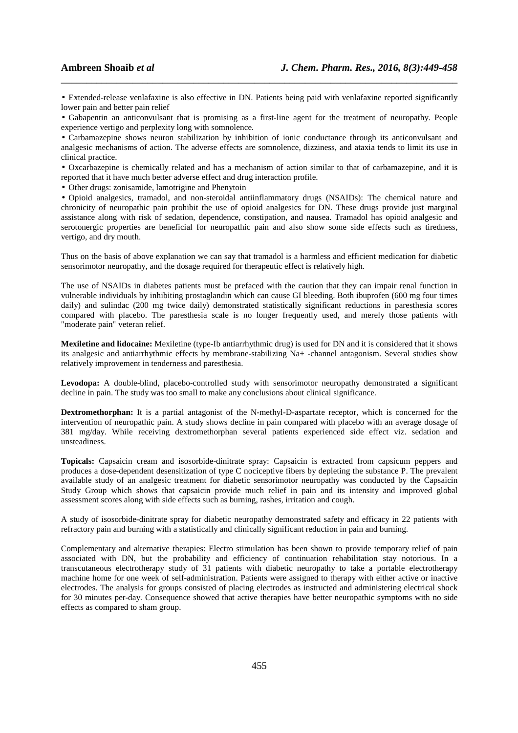• Extended-release venlafaxine is also effective in DN. Patients being paid with venlafaxine reported significantly lower pain and better pain relief

\_\_\_\_\_\_\_\_\_\_\_\_\_\_\_\_\_\_\_\_\_\_\_\_\_\_\_\_\_\_\_\_\_\_\_\_\_\_\_\_\_\_\_\_\_\_\_\_\_\_\_\_\_\_\_\_\_\_\_\_\_\_\_\_\_\_\_\_\_\_\_\_\_\_\_\_\_\_

• Gabapentin an anticonvulsant that is promising as a first-line agent for the treatment of neuropathy. People experience vertigo and perplexity long with somnolence.

• Carbamazepine shows neuron stabilization by inhibition of ionic conductance through its anticonvulsant and analgesic mechanisms of action. The adverse effects are somnolence, dizziness, and ataxia tends to limit its use in clinical practice.

• Oxcarbazepine is chemically related and has a mechanism of action similar to that of carbamazepine, and it is reported that it have much better adverse effect and drug interaction profile.

• Other drugs: zonisamide, lamotrigine and Phenytoin

• Opioid analgesics, tramadol, and non-steroidal antiinflammatory drugs (NSAIDs): The chemical nature and chronicity of neuropathic pain prohibit the use of opioid analgesics for DN. These drugs provide just marginal assistance along with risk of sedation, dependence, constipation, and nausea. Tramadol has opioid analgesic and serotonergic properties are beneficial for neuropathic pain and also show some side effects such as tiredness, vertigo, and dry mouth.

Thus on the basis of above explanation we can say that tramadol is a harmless and efficient medication for diabetic sensorimotor neuropathy, and the dosage required for therapeutic effect is relatively high.

The use of NSAIDs in diabetes patients must be prefaced with the caution that they can impair renal function in vulnerable individuals by inhibiting prostaglandin which can cause GI bleeding. Both ibuprofen (600 mg four times daily) and sulindac (200 mg twice daily) demonstrated statistically significant reductions in paresthesia scores compared with placebo. The paresthesia scale is no longer frequently used, and merely those patients with "moderate pain" veteran relief.

**Mexiletine and lidocaine:** Mexiletine (type-Ib antiarrhythmic drug) is used for DN and it is considered that it shows its analgesic and antiarrhythmic effects by membrane-stabilizing Na+ -channel antagonism. Several studies show relatively improvement in tenderness and paresthesia.

**Levodopa:** A double-blind, placebo-controlled study with sensorimotor neuropathy demonstrated a significant decline in pain. The study was too small to make any conclusions about clinical significance.

**Dextromethorphan:** It is a partial antagonist of the N-methyl-D-aspartate receptor, which is concerned for the intervention of neuropathic pain. A study shows decline in pain compared with placebo with an average dosage of 381 mg/day. While receiving dextromethorphan several patients experienced side effect viz. sedation and unsteadiness.

**Topicals:** Capsaicin cream and isosorbide-dinitrate spray: Capsaicin is extracted from capsicum peppers and produces a dose-dependent desensitization of type C nociceptive fibers by depleting the substance P. The prevalent available study of an analgesic treatment for diabetic sensorimotor neuropathy was conducted by the Capsaicin Study Group which shows that capsaicin provide much relief in pain and its intensity and improved global assessment scores along with side effects such as burning, rashes, irritation and cough.

A study of isosorbide-dinitrate spray for diabetic neuropathy demonstrated safety and efficacy in 22 patients with refractory pain and burning with a statistically and clinically significant reduction in pain and burning.

Complementary and alternative therapies: Electro stimulation has been shown to provide temporary relief of pain associated with DN, but the probability and efficiency of continuation rehabilitation stay notorious. In a transcutaneous electrotherapy study of 31 patients with diabetic neuropathy to take a portable electrotherapy machine home for one week of self-administration. Patients were assigned to therapy with either active or inactive electrodes. The analysis for groups consisted of placing electrodes as instructed and administering electrical shock for 30 minutes per-day. Consequence showed that active therapies have better neuropathic symptoms with no side effects as compared to sham group.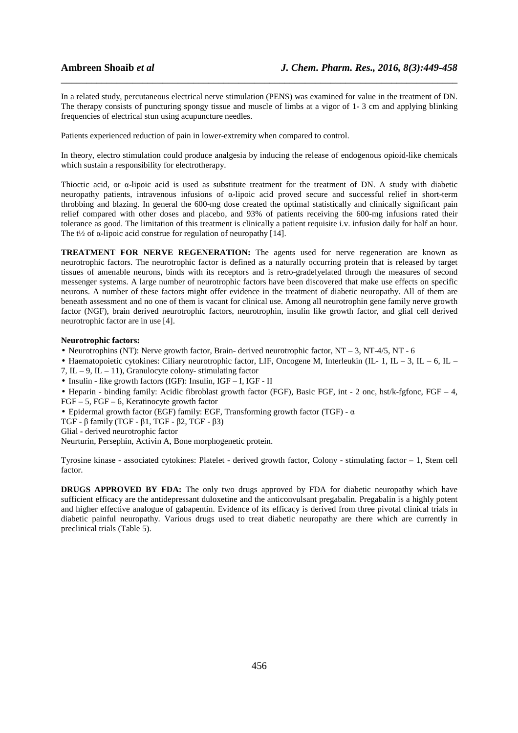In a related study, percutaneous electrical nerve stimulation (PENS) was examined for value in the treatment of DN. The therapy consists of puncturing spongy tissue and muscle of limbs at a vigor of 1- 3 cm and applying blinking frequencies of electrical stun using acupuncture needles.

\_\_\_\_\_\_\_\_\_\_\_\_\_\_\_\_\_\_\_\_\_\_\_\_\_\_\_\_\_\_\_\_\_\_\_\_\_\_\_\_\_\_\_\_\_\_\_\_\_\_\_\_\_\_\_\_\_\_\_\_\_\_\_\_\_\_\_\_\_\_\_\_\_\_\_\_\_\_

Patients experienced reduction of pain in lower-extremity when compared to control.

In theory, electro stimulation could produce analgesia by inducing the release of endogenous opioid-like chemicals which sustain a responsibility for electrotherapy.

Thioctic acid, or α-lipoic acid is used as substitute treatment for the treatment of DN. A study with diabetic neuropathy patients, intravenous infusions of α-lipoic acid proved secure and successful relief in short-term throbbing and blazing. In general the 600-mg dose created the optimal statistically and clinically significant pain relief compared with other doses and placebo, and 93% of patients receiving the 600-mg infusions rated their tolerance as good. The limitation of this treatment is clinically a patient requisite i.v. infusion daily for half an hour. The t<sup> $1/2$ </sup> of  $\alpha$ -lipoic acid construe for regulation of neuropathy [14].

**TREATMENT FOR NERVE REGENERATION:** The agents used for nerve regeneration are known as neurotrophic factors. The neurotrophic factor is defined as a naturally occurring protein that is released by target tissues of amenable neurons, binds with its receptors and is retro-gradelyelated through the measures of second messenger systems. A large number of neurotrophic factors have been discovered that make use effects on specific neurons. A number of these factors might offer evidence in the treatment of diabetic neuropathy. All of them are beneath assessment and no one of them is vacant for clinical use. Among all neurotrophin gene family nerve growth factor (NGF), brain derived neurotrophic factors, neurotrophin, insulin like growth factor, and glial cell derived neurotrophic factor are in use [4].

#### **Neurotrophic factors:**

- Neurotrophins (NT): Nerve growth factor, Brain- derived neurotrophic factor, NT 3, NT-4/5, NT 6
- Haematopoietic cytokines: Ciliary neurotrophic factor, LIF, Oncogene M, Interleukin (IL- 1, IL 3, IL 6, IL 7, IL – 9, IL – 11), Granulocyte colony-stimulating factor
- Insulin like growth factors (IGF): Insulin, IGF I, IGF II
- Heparin binding family: Acidic fibroblast growth factor (FGF), Basic FGF, int 2 onc, hst/k-fgfonc, FGF 4,  $FGF - 5$ ,  $FGF - 6$ , Keratinocyte growth factor
- Epidermal growth factor (EGF) family: EGF, Transforming growth factor (TGF)  $\alpha$

TGF - β family (TGF - β1, TGF - β2, TGF - β3)

Glial - derived neurotrophic factor

Neurturin, Persephin, Activin A, Bone morphogenetic protein.

Tyrosine kinase - associated cytokines: Platelet - derived growth factor, Colony - stimulating factor – 1, Stem cell factor.

**DRUGS APPROVED BY FDA:** The only two drugs approved by FDA for diabetic neuropathy which have sufficient efficacy are the antidepressant duloxetine and the anticonvulsant pregabalin. Pregabalin is a highly potent and higher effective analogue of gabapentin. Evidence of its efficacy is derived from three pivotal clinical trials in diabetic painful neuropathy. Various drugs used to treat diabetic neuropathy are there which are currently in preclinical trials (Table 5).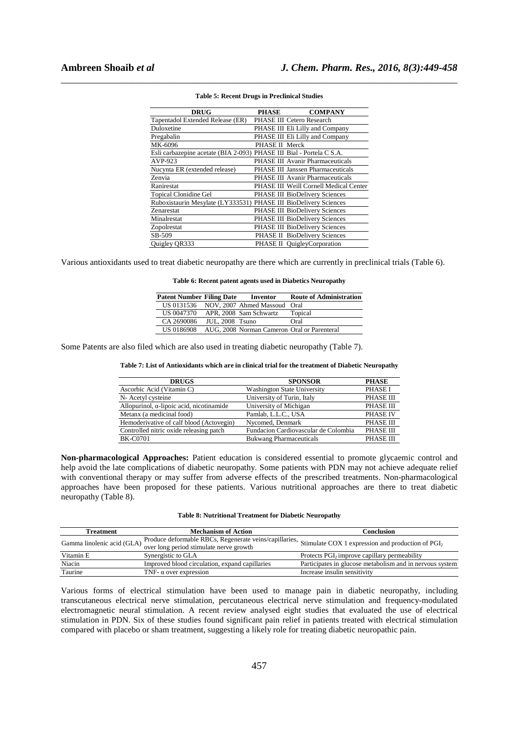| <b>DRUG</b>                                                          | <b>PHASE</b>   | <b>COMPANY</b>                         |
|----------------------------------------------------------------------|----------------|----------------------------------------|
| Tapentadol Extended Release (ER)                                     |                | PHASE III Cetero Research              |
| Duloxetine                                                           |                | PHASE III Eli Lilly and Company        |
| Pregabalin                                                           |                | PHASE III Eli Lilly and Company        |
| MK-6096                                                              | PHASE II Merck |                                        |
| Esli carbazepine acetate (BIA 2-093) PHASE III Bial - Portela C S.A. |                |                                        |
| AVP-923                                                              |                | PHASE III Avanir Pharmaceuticals       |
| Nucynta ER (extended release)                                        |                | PHASE III Janssen Pharmaceuticals      |
| Zenvia                                                               |                | PHASE III Avanir Pharmaceuticals       |
| Ranirestat                                                           |                | PHASE III Weill Cornell Medical Center |
| <b>Topical Clonidine Gel</b>                                         |                | PHASE III BioDelivery Sciences         |
| Ruboxistaurin Mesylate (LY333531) PHASE III BioDelivery Sciences     |                |                                        |
| Zenarestat                                                           |                | PHASE III BioDelivery Sciences         |
| Minalrestat                                                          |                | PHASE III BioDelivery Sciences         |
| Zopolrestat                                                          |                | PHASE III BioDelivery Sciences         |
| SB-509                                                               |                | PHASE II BioDelivery Sciences          |
| Quigley QR333                                                        |                | PHASE II QuigleyCorporation            |

#### **Table 5: Recent Drugs in Preclinical Studies**

\_\_\_\_\_\_\_\_\_\_\_\_\_\_\_\_\_\_\_\_\_\_\_\_\_\_\_\_\_\_\_\_\_\_\_\_\_\_\_\_\_\_\_\_\_\_\_\_\_\_\_\_\_\_\_\_\_\_\_\_\_\_\_\_\_\_\_\_\_\_\_\_\_\_\_\_\_\_

Various antioxidants used to treat diabetic neuropathy are there which are currently in preclinical trials (Table 6).

**Table 6: Recent patent agents used in Diabetics Neuropathy** 

| <b>Patent Number Filing Date</b> |                 | Inventor                                    | <b>Route of Administration</b> |
|----------------------------------|-----------------|---------------------------------------------|--------------------------------|
|                                  |                 | US 0131536 NOV, 2007 Ahmed Massoud Oral     |                                |
| US 0047370                       |                 | APR, 2008 Sam Schwartz                      | Topical                        |
| CA 2690086                       | JUL, 2008 Tsuno |                                             | Oral                           |
| US 0186908                       |                 | AUG, 2008 Norman Cameron Oral or Parenteral |                                |

Some Patents are also filed which are also used in treating diabetic neuropathy (Table 7).

#### **Table 7: List of Antioxidants which are in clinical trial for the treatment of Diabetic Neuropathy**

| <b>DRUGS</b>                                     | <b>SPONSOR</b>                       | <b>PHASE</b>     |
|--------------------------------------------------|--------------------------------------|------------------|
| Ascorbic Acid (Vitamin C)                        | <b>Washington State University</b>   | <b>PHASE I</b>   |
| N- Acetyl cysteine                               | University of Turin, Italy           | <b>PHASE III</b> |
| Allopurinol, $\alpha$ -lipoic acid, nicotinamide | University of Michigan               | <b>PHASE III</b> |
| Metanx (a medicinal food)                        | Pamlab, L.L.C., USA                  | <b>PHASE IV</b>  |
| Hemoderivative of calf blood (Actovegin)         | Nycomed, Denmark                     | <b>PHASE III</b> |
| Controlled nitric oxide releasing patch          | Fundacion Cardiovascular de Colombia | <b>PHASE III</b> |
| <b>BK-C0701</b>                                  | <b>Bukwang Pharmaceuticals</b>       | <b>PHASE III</b> |

**Non-pharmacological Approaches:** Patient education is considered essential to promote glycaemic control and help avoid the late complications of diabetic neuropathy. Some patients with PDN may not achieve adequate relief with conventional therapy or may suffer from adverse effects of the prescribed treatments. Non-pharmacological approaches have been proposed for these patients. Various nutritional approaches are there to treat diabetic neuropathy (Table 8).

| <b>Table 8: Nutritional Treatment for Diabetic Neuropathy</b> |  |  |  |
|---------------------------------------------------------------|--|--|--|
|---------------------------------------------------------------|--|--|--|

| <b>Treatment</b>           | <b>Mechanism of Action</b>                                                                                                          | Conclusion                                               |  |
|----------------------------|-------------------------------------------------------------------------------------------------------------------------------------|----------------------------------------------------------|--|
| Gamma linolenic acid (GLA) | $\overline{P}$ Produce deformable RBCs, Regenerate veins/capillaries, Stimulate COX 1 expression and production of PGI <sub>2</sub> |                                                          |  |
|                            | over long period stimulate nerve growth                                                                                             |                                                          |  |
| Vitamin E                  | Synergistic to GLA                                                                                                                  | Protects PGI <sub>2</sub> improve capillary permeability |  |
| Niacin                     | Improved blood circulation, expand capillaries                                                                                      | Participates in glucose metabolism and in nervous system |  |
| Taurine                    | TNF- $\alpha$ over expression                                                                                                       | Increase insulin sensitivity                             |  |

Various forms of electrical stimulation have been used to manage pain in diabetic neuropathy, including transcutaneous electrical nerve stimulation, percutaneous electrical nerve stimulation and frequency-modulated electromagnetic neural stimulation. A recent review analysed eight studies that evaluated the use of electrical stimulation in PDN. Six of these studies found significant pain relief in patients treated with electrical stimulation compared with placebo or sham treatment, suggesting a likely role for treating diabetic neuropathic pain.